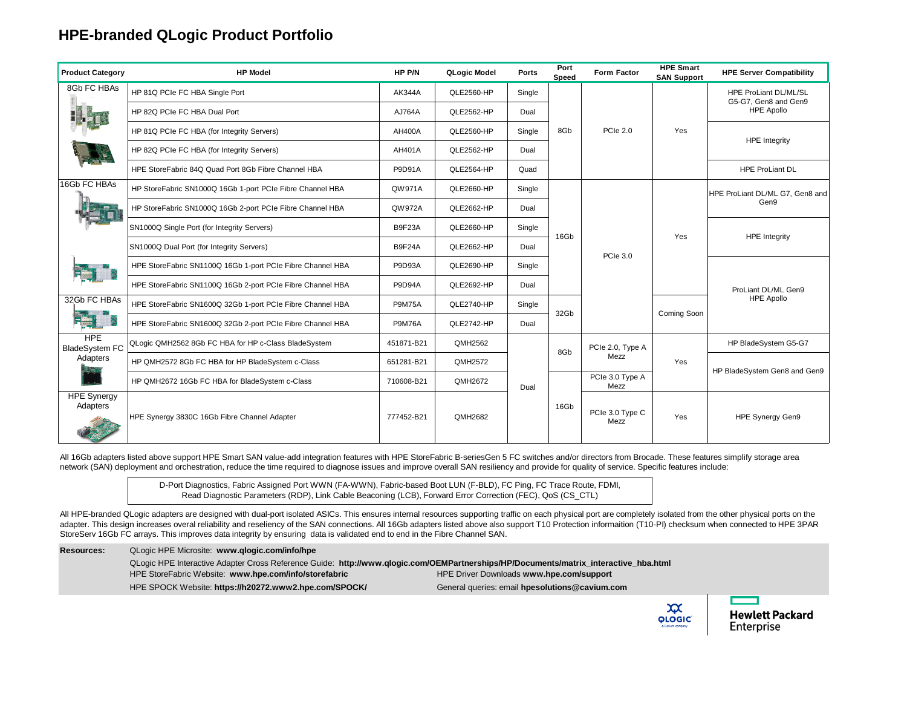## **HPE-branded QLogic Product Portfolio**

| <b>Product Category</b>                         | <b>HP Model</b>                                            | HP P/N        | QLogic Model | <b>Ports</b> | Port<br>Speed | <b>Form Factor</b>      | <b>HPE Smart</b><br><b>SAN Support</b> | <b>HPE Server Compatibility</b>                                    |
|-------------------------------------------------|------------------------------------------------------------|---------------|--------------|--------------|---------------|-------------------------|----------------------------------------|--------------------------------------------------------------------|
| 8Gb FC HBAs                                     | HP 81Q PCIe FC HBA Single Port                             | <b>AK344A</b> | QLE2560-HP   | Single       | 8Gb           | <b>PCIe 2.0</b>         | Yes                                    | HPE ProLiant DL/ML/SL<br>G5-G7. Gen8 and Gen9<br><b>HPE Apollo</b> |
|                                                 | HP 82Q PCIe FC HBA Dual Port                               | AJ764A        | QLE2562-HP   | Dual         |               |                         |                                        |                                                                    |
|                                                 | HP 81Q PCIe FC HBA (for Integrity Servers)                 | <b>AH400A</b> | QLE2560-HP   | Single       |               |                         |                                        | <b>HPE Integrity</b>                                               |
|                                                 | HP 82Q PCIe FC HBA (for Integrity Servers)                 | AH401A        | QLE2562-HP   | Dual         |               |                         |                                        |                                                                    |
|                                                 | HPE StoreFabric 84Q Quad Port 8Gb Fibre Channel HBA        | <b>P9D91A</b> | QLE2564-HP   | Quad         |               |                         |                                        | <b>HPE ProLiant DL</b>                                             |
| 16Gb FC HBAs<br>F <b>ELL</b> 4                  | HP StoreFabric SN1000Q 16Gb 1-port PCIe Fibre Channel HBA  | QW971A        | QLE2660-HP   | Single       | 16Gb          | PCIe 3.0                | Yes                                    | HPE ProLiant DL/ML G7, Gen8 and<br>Gen9                            |
|                                                 | HP StoreFabric SN1000Q 16Gb 2-port PCIe Fibre Channel HBA  | QW972A        | QLE2662-HP   | Dual         |               |                         |                                        |                                                                    |
|                                                 | SN1000Q Single Port (for Integrity Servers)                | <b>B9F23A</b> | QLE2660-HP   | Single       |               |                         |                                        | <b>HPE</b> Integrity                                               |
|                                                 | SN1000Q Dual Port (for Integrity Servers)                  | <b>B9F24A</b> | QLE2662-HP   | Dual         |               |                         |                                        |                                                                    |
|                                                 | HPE StoreFabric SN1100Q 16Gb 1-port PCIe Fibre Channel HBA | P9D93A        | QLE2690-HP   | Single       |               |                         |                                        | ProLiant DL/ML Gen9<br><b>HPE Apollo</b>                           |
|                                                 | HPE StoreFabric SN1100Q 16Gb 2-port PCIe Fibre Channel HBA | <b>P9D94A</b> | QLE2692-HP   | Dual         |               |                         |                                        |                                                                    |
| 32Gb FC HBAs                                    | HPE StoreFabric SN1600Q 32Gb 1-port PCIe Fibre Channel HBA | <b>P9M75A</b> | QLE2740-HP   | Single       | 32Gb          |                         | Coming Soon                            |                                                                    |
|                                                 | HPE StoreFabric SN1600Q 32Gb 2-port PCIe Fibre Channel HBA | <b>P9M76A</b> | QLE2742-HP   | Dual         |               |                         |                                        |                                                                    |
| <b>HPE</b><br><b>BladeSystem FC</b><br>Adapters | QLogic QMH2562 8Gb FC HBA for HP c-Class BladeSystem       | 451871-B21    | QMH2562      |              | 8Gb           | PCIe 2.0, Type A        | Yes                                    | HP BladeSystem G5-G7                                               |
|                                                 | HP QMH2572 8Gb FC HBA for HP BladeSystem c-Class           | 651281-B21    | QMH2572      |              |               | Mezz                    |                                        | HP BladeSystem Gen8 and Gen9                                       |
|                                                 | HP QMH2672 16Gb FC HBA for BladeSystem c-Class             | 710608-B21    | QMH2672      | Dual         |               | PCIe 3.0 Type A<br>Mezz |                                        |                                                                    |
| <b>HPE Synergy</b><br>Adapters                  | HPE Synergy 3830C 16Gb Fibre Channel Adapter               | 777452-B21    | QMH2682      |              | 16Gb          | PCIe 3.0 Type C<br>Mezz | Yes                                    | HPE Synergy Gen9                                                   |

All 16Gb adapters listed above support HPE Smart SAN value-add integration features with HPE StoreFabric B-seriesGen 5 FC switches and/or directors from Brocade. These features simplify storage area network (SAN) deployment and orchestration, reduce the time required to diagnose issues and improve overall SAN resiliency and provide for quality of service. Specific features include:

> D-Port Diagnostics, Fabric Assigned Port WWN (FA-WWN), Fabric-based Boot LUN (F-BLD), FC Ping, FC Trace Route, FDMI, Read Diagnostic Parameters (RDP), Link Cable Beaconing (LCB), Forward Error Correction (FEC), QoS (CS\_CTL)

All HPE-branded QLogic adapters are designed with dual-port isolated ASICs. This ensures internal resources supporting traffic on each physical port are completely isolated from the other physical ports on the adapter. This design increases overal reliability and reseliency of the SAN connections. All 16Gb adapters listed above also support T10 Protection informaition (T10-PI) checksum when connected to HPE 3PAR StoreServ 16Gb FC arrays. This improves data integrity by ensuring data is validated end to end in the Fibre Channel SAN.

| <b>Resources:</b> | QLogic HPE Microsite: www.glogic.com/info/hpe                                                                                        |                                                |                                               |                                      |
|-------------------|--------------------------------------------------------------------------------------------------------------------------------------|------------------------------------------------|-----------------------------------------------|--------------------------------------|
|                   | QLogic HPE Interactive Adapter Cross Reference Guide: http://www.qlogic.com/OEMPartnerships/HP/Documents/matrix_interactive_hba.html |                                                |                                               |                                      |
|                   | HPE StoreFabric Website: www.hpe.com/info/storefabric                                                                                | HPE Driver Downloads www.hpe.com/support       |                                               |                                      |
|                   | HPE SPOCK Website: https://h20272.www2.hpe.com/SPOCK/                                                                                | General queries: email hpesolutions@cavium.com |                                               |                                      |
|                   |                                                                                                                                      |                                                | $\infty$<br><b>QLOGIC</b><br>a Cavium company | <b>Hewlett Packard</b><br>Enterprise |